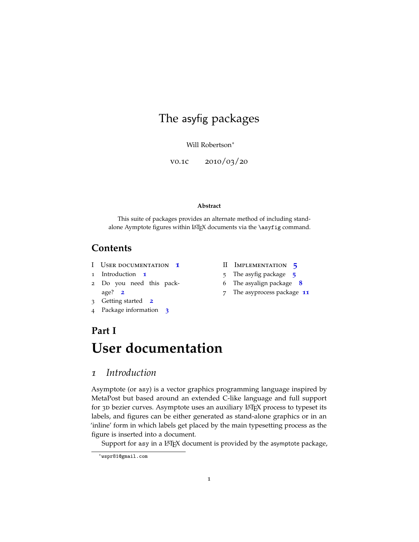## The asyfig packages

Will Robertson<sup>∗</sup>

v0.1c 2010/03/20

#### **Abstract**

This suite of packages provides an alternate method of including standalone Aymptote figures within LATEX documents via the \asyfig command.

### **Contents**

- I User documentation **[1](#page-0-0)**
- 1 Introduction **[1](#page-0-1)**
- 2 Do you need this package? **[2](#page-1-0)**
- 3 Getting started **[2](#page-1-1)**
- 4 Package information **[3](#page-2-0)**
- II Implementation **[5](#page-4-0)**
- 5 The asyfig package **[5](#page-4-1)**
- 6 The asyalign package **[8](#page-7-0)**
- 7 The asyprocess package **[11](#page-10-0)**

## <span id="page-0-0"></span>**Part I User documentation**

### <span id="page-0-1"></span>*1 Introduction*

Asymptote (or asy) is a vector graphics programming language inspired by MetaPost but based around an extended C-like language and full support for 3D bezier curves. Asymptote uses an auxiliary LAT<sub>E</sub>X process to typeset its labels, and figures can be either generated as stand-alone graphics or in an 'inline' form in which labels get placed by the main typesetting process as the figure is inserted into a document.

Support for asy in a IATEX document is provided by the asymptote package,

<sup>∗</sup>wspr81@gmail.com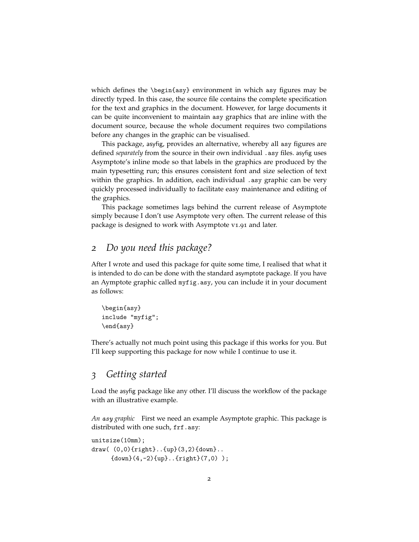which defines the \begin{asy} environment in which asy figures may be directly typed. In this case, the source file contains the complete specification for the text and graphics in the document. However, for large documents it can be quite inconvenient to maintain asy graphics that are inline with the document source, because the whole document requires two compilations before any changes in the graphic can be visualised.

This package, asyfig, provides an alternative, whereby all asy figures are defined *separately* from the source in their own individual .asy files. asyfig uses Asymptote's inline mode so that labels in the graphics are produced by the main typesetting run; this ensures consistent font and size selection of text within the graphics. In addition, each individual .asy graphic can be very quickly processed individually to facilitate easy maintenance and editing of the graphics.

This package sometimes lags behind the current release of Asymptote simply because I don't use Asymptote very often. The current release of this package is designed to work with Asymptote v1.91 and later.

#### <span id="page-1-0"></span>*2 Do you need this package?*

After I wrote and used this package for quite some time, I realised that what it is intended to do can be done with the standard asymptote package. If you have an Aymptote graphic called myfig.asy, you can include it in your document as follows:

```
\begin{asy}
include "myfig";
\end{asy}
```
There's actually not much point using this package if this works for you. But I'll keep supporting this package for now while I continue to use it.

#### <span id="page-1-1"></span>*3 Getting started*

Load the asyfig package like any other. I'll discuss the workflow of the package with an illustrative example.

*An asy graphic* First we need an example Asymptote graphic. This package is distributed with one such, frf.asy:

```
unitsize(10mm);
draw( (0,0){right}..{up}(3,2){down}..
     {down}(4,-2){up}. {right}(7,0);
```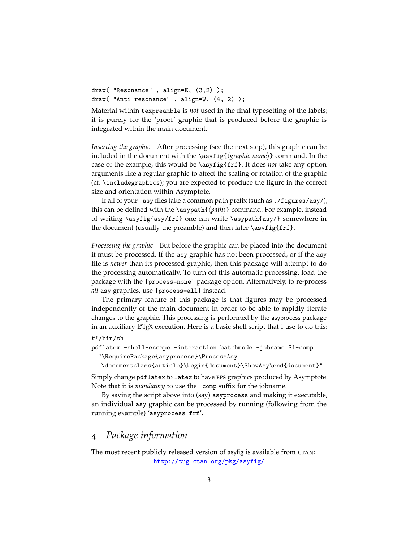draw( "Resonance" , align=E, (3,2) ); draw( "Anti-resonance" , align=W, (4,-2) );

Material within texpreamble is *not* used in the final typesetting of the labels; it is purely for the 'proof' graphic that is produced before the graphic is integrated within the main document.

*Inserting the graphic* After processing (see the next step), this graphic can be included in the document with the \asyfig{(*graphic name*)} command. In the case of the example, this would be \asyfig{frf}. It does *not* take any option arguments like a regular graphic to affect the scaling or rotation of the graphic (cf. \includegraphics); you are expected to produce the figure in the correct size and orientation within Asymptote.

If all of your .asy files take a common path prefix (such as ./figures/asy/), this can be defined with the \asypath{ $\langle path \rangle$ } command. For example, instead of writing \asyfig{asy/frf} one can write \asypath{asy/} somewhere in the document (usually the preamble) and then later \asyfig{frf}.

*Processing the graphic* But before the graphic can be placed into the document it must be processed. If the asy graphic has not been processed, or if the asy file is *newer* than its processed graphic, then this package will attempt to do the processing automatically. To turn off this automatic processing, load the package with the [process=none] package option. Alternatively, to re-process *all* asy graphics, use [process=all] instead.

The primary feature of this package is that figures may be processed independently of the main document in order to be able to rapidly iterate changes to the graphic. This processing is performed by the asyprocess package in an auxiliary LAT<sub>E</sub>X execution. Here is a basic shell script that I use to do this:

#### #!/bin/sh

```
pdflatex -shell-escape -interaction=batchmode -jobname=$1-comp
```
"\RequirePackage{asyprocess}\ProcessAsy

\documentclass{article}\begin{document}\ShowAsy\end{document}"

Simply change pdflatex to latex to have eps graphics produced by Asymptote. Note that it is *mandatory* to use the -comp suffix for the jobname.

By saving the script above into (say) asyprocess and making it executable, an individual asy graphic can be processed by running (following from the running example) 'asyprocess frf'.

#### <span id="page-2-0"></span>*4 Package information*

The most recent publicly released version of asyfig is available from CTAN: <http://tug.ctan.org/pkg/asyfig/>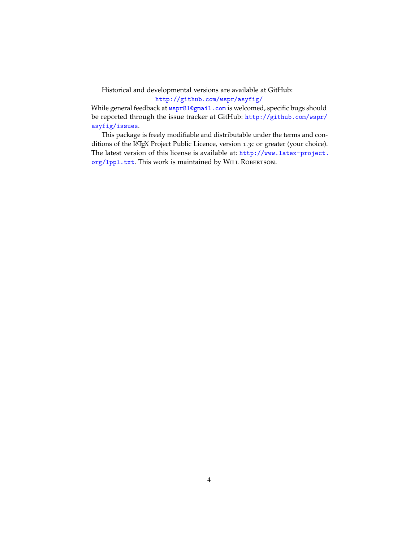## Historical and developmental versions are available at GitHub:

<http://github.com/wspr/asyfig/>

While general feedback at **<wspr81@gmail.com>** is welcomed, specific bugs should be reported through the issue tracker at GitHub: [http://github.com/wspr/](http://github.com/wspr/asyfig/issues) [asyfig/issues](http://github.com/wspr/asyfig/issues).

This package is freely modifiable and distributable under the terms and conditions of the LATEX Project Public Licence, version <sup>1</sup>.3c or greater (your choice). The latest version of this license is available at: [http://www.latex-project.](http://www.latex-project.org/lppl.txt) org/1pp1.txt. This work is maintained by WILL ROBERTSON.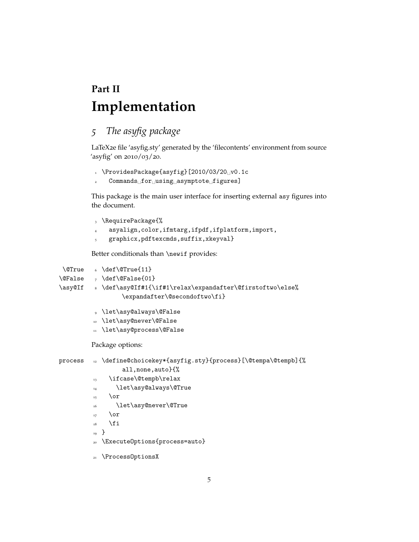# <span id="page-4-0"></span>**Part II Implementation**

## <span id="page-4-1"></span>*5 The asyfig package*

LaTeX2e file 'asyfig.sty' generated by the 'filecontents' environment from source 'asyfig' on 2010/03/20.

- $1 \quad \text{ProvidesPackage}$  [2010/03/20 $\text{O}$  v0.1c
- 2 Commands for using asymptote figures]

This package is the main user interface for inserting external asy figures into the document.

- <sup>3</sup> \RequirePackage{%
- <sup>4</sup> asyalign,color,ifmtarg,ifpdf,ifplatform,import,
- <sup>5</sup> graphicx,pdftexcmds,suffix,xkeyval}

Better conditionals than \newif provides:

```
\QTrue \delta \det\QTrue{11}\verb|\@False|_7 \verb|\def\\@False{01}|\asy@If 8 \def\asy@If#1{\if#1\relax\expandafter\@firstoftwo\else%
                  \expandafter\@secondoftwo\fi}
          9 \let\asy@always\@False
          10 \let\asy@never\@False
          11 \let\asy@process\@False
         Package options:
```

```
process 12 \define@choicekey*{asyfig.sty}{process}[\@tempa\@tempb]{%
```
- all,none,auto}{%
- 13 \ifcase\@tempb\relax
- <sup>14</sup> \let\asy@always\@True
- $\overline{\text{or}}$
- <sup>16</sup> \let\asy@never\@True
- $_{17}$  \or
- $18 \qquad \text{if}$
- <sup>19</sup> }
- <sup>20</sup> \ExecuteOptions{process=auto}
- 21 \ProcessOptionsX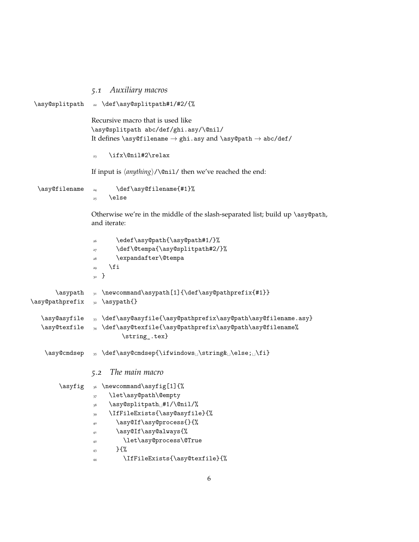```
5.1 Auxiliary macros
\asy@splitpath <sub>22</sub> \def\asy@splitpath#1/#2/{%
                  Recursive macro that is used like
                  \asy@splitpath abc/def/ghi.asy/\@nil/
                  It defines \asymp filename \rightarrow ghi.asy and \asymp expacts \rightarrow abc/def/
                  23 \ifx\@nil#2\relax
                  If input is \langleanything\rangle/\langle@nil/ then we've reached the end:
  \asy@filename <sub>24</sub> \def\asy@filename{#1}%
                  25 \else
                  Otherwise we're in the middle of the slash-separated list; build up \asy@path,
                  and iterate:
                  26 \edef\asy@path{\asy@path#1/}%
                  27 \def\@tempa{\asy@splitpath#2/}%
                  28 \expandafter\@tempa
                  29 \fi
                  30 }
       \asypath \newcommand{\asypath[1]{\def\asypath}[1]\asy@pathprefix <sub>32</sub> \asypath{}
  \asy@asyfile <sub>33</sub> \def\asy@asyfile{\asy@pathprefix\asy@path\asy@filename.asy}
  \asy@texfile <sub>34</sub> \def\asy@texfile{\asy@pathprefix\asy@path\asy@filename%
                           \string .tex}
    \asy@cmdsep _35 \def\asy@cmdsep{\ifwindows_\string& \else; \fi}
                  5.2 The main macro
        \text{asyfig} \quad \text{newcommand}\asyfig[1]}\37 \let\asy@path\@empty
                  38 \asy@splitpath #1/\@nil/%
                   39 \IfFileExists{\asy@asyfile}{%
                  40 \asy@If\asy@process{}{%
                  41 \asy@If\asy@always{%
                  42 \let\asy@process\@True
                  _{43} } {%
                  44 \IfFileExists{\asy@texfile}{%
```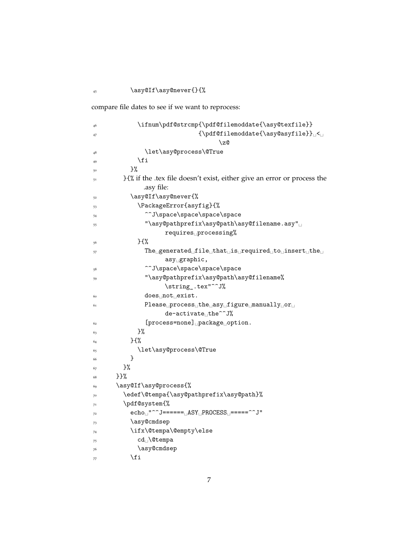$^{45}$   $\hspace{1em}\text{\\asy@If}\asymp\text{?}$ 

compare file dates to see if we want to reprocess:

| 46 | \ifnum\pdf@strcmp{\pdf@filemoddate{\asy@texfile}}                                                                                                           |
|----|-------------------------------------------------------------------------------------------------------------------------------------------------------------|
| 47 | ${\ph{b}d}f$ Cfilemoddate ${\asy}file{\b}$                                                                                                                  |
|    | \z@                                                                                                                                                         |
| 48 | \let\asy@process\@True                                                                                                                                      |
| 49 | \fi                                                                                                                                                         |
| 50 | }%                                                                                                                                                          |
| 51 | }{% if the .tex file doesn't exist, either give an error or process the                                                                                     |
|    | .asy file:                                                                                                                                                  |
| 52 | \asy@If\asy@never{%                                                                                                                                         |
| 53 | \PackageError{asyfig}{%                                                                                                                                     |
| 54 | ^^J\space\space\space\space                                                                                                                                 |
| 55 | "\asy@pathprefix\asy@path\asy@filename.asy"                                                                                                                 |
|    | requires <sub>DProcessing</sub> %                                                                                                                           |
| 56 | $}$                                                                                                                                                         |
| 57 | $\text{The } \text{ }$ generated $\text{ }$ ile $\text{ }$ that $\text{ }$ is $\text{ }$ required $\text{ }$ to $\text{ }$ insert $\text{ }$ the $\text{ }$ |
|    | $asy_{\sqcup} graphic$ ,                                                                                                                                    |
| 58 | ^^J\space\space\space\space                                                                                                                                 |
| 59 | "\asy@pathprefix\asy@path\asy@filename%                                                                                                                     |
|    | \string_.tex"^^J%                                                                                                                                           |
| 60 | $does_1$ not $_1$ exist.                                                                                                                                    |
| 61 | $Please \cup process \cup the \cup assy \cup figure \cup manually \cup or \cup$                                                                             |
|    | de-activate_the^^J%                                                                                                                                         |
| 62 | [process=none] package option.                                                                                                                              |
| 63 | }%                                                                                                                                                          |
| 64 | 35%                                                                                                                                                         |
| 65 | \let\asy@process\@True                                                                                                                                      |
| 66 | ł                                                                                                                                                           |
| 67 | }%                                                                                                                                                          |
| 68 | }}%                                                                                                                                                         |
| 69 | \asy@If\asy@process{%                                                                                                                                       |
| 70 | \edef\@tempa{\asy@pathprefix\asy@path}%                                                                                                                     |
| 71 | \pdf@system{%                                                                                                                                               |
| 72 | $echo_{\Box}$ "^^J====== $\Box$ ASY $\Box$ PROCESS $\Box$ =====^^J"                                                                                         |
| 73 | \asy@cmdsep                                                                                                                                                 |
| 74 | \ifx\@tempa\@empty\else                                                                                                                                     |
| 75 | cd <sub>1</sub> \@tempa                                                                                                                                     |
| 76 | \asy@cmdsep                                                                                                                                                 |
| 77 | \fi                                                                                                                                                         |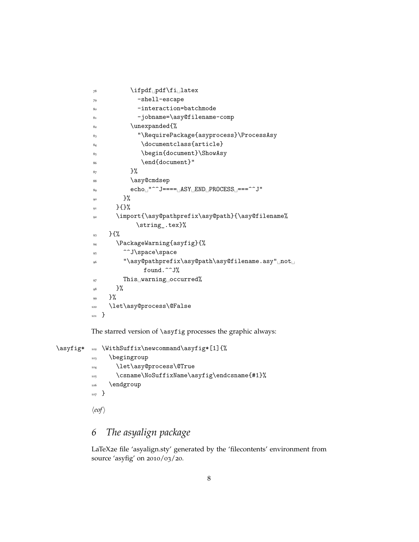```
\gamma<sup>8</sup> \ifpdf<sub>\left</sub> pdf\fi<sub>\l</sub>latex
\frac{79}{79} -shell-escape
80 -interaction=batchmode
81 -jobname=\asy@filename-comp
82 \unexpanded{%
83 "\RequirePackage{asyprocess}\ProcessAsy
84 \documentclass{article}
85 \begin{document}\ShowAsy
86 \end{document}"
87 \t} }%
88 \asy@cmdsep
89 echo1^{\circ}<sup>" \sim</sup>J==== \DeltaASY \DeltaEND PROCESS 1^{\circ} ===\sim \sim J"
90 \t\frac{1}{2}91 }{}%
92 \import{\asy@pathprefix\asy@path}{\asy@filename%
            \string_.tex}%
93 } {%
94 \PackageWarning{asyfig}{%
95 <sup>^</sup>J\space\space
\frac{96}{96} "\asy@pathprefix\asy@path\asy@filename.asy"
not
              found.^^J%
97 This warning occurred%
98 }%
99 }%
100 \let\asy@process\@False
101 }
```
The starred version of \asyfig processes the graphic always:

```
\asyfig* 102 \WithSuffix\newcommand\asyfig*[1]{%
          103 \begingroup
          104 \let\asy@process\@True
          105 \csname\NoSuffixName\asyfig\endcsname{#1}%
          106 \endgroup
          107 }
          \langle eof \rangle
```
### <span id="page-7-0"></span>*6 The asyalign package*

LaTeX2e file 'asyalign.sty' generated by the 'filecontents' environment from source 'asyfig' on 2010/03/20.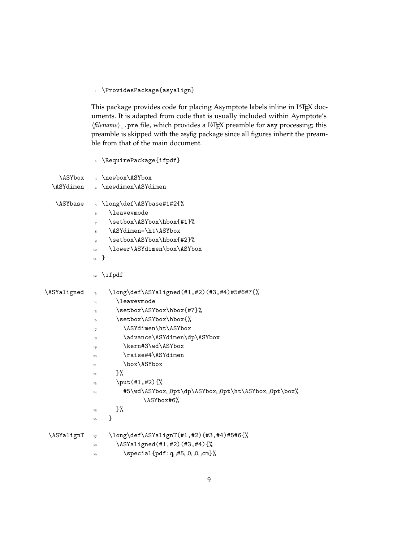\ProvidesPackage{asyalign}

This package provides code for placing Asymptote labels inline in LATEX documents. It is adapted from code that is usually included within Aymptote's *(filename)* \_ .pre file, which provides a LAT<sub>E</sub>X preamble for asy processing; this preamble is skipped with the asyfig package since all figures inherit the preamble from that of the main document.

\RequirePackage{ifpdf}

| \ASYbox          | \newbox\ASYbox<br>$\overline{\mathbf{3}}$                                                                                                                                                                                                                                                                                                                                                                                                                                   |
|------------------|-----------------------------------------------------------------------------------------------------------------------------------------------------------------------------------------------------------------------------------------------------------------------------------------------------------------------------------------------------------------------------------------------------------------------------------------------------------------------------|
| <b>\ASYdimen</b> | \newdimen\ASYdimen<br>$\overline{A}$                                                                                                                                                                                                                                                                                                                                                                                                                                        |
| <b>\ASYbase</b>  | \long\def\ASYbase#1#2{%<br>$\overline{5}$<br><b>\leaveymode</b><br>6<br>\setbox\ASYbox\hbox{#1}%<br>$\overline{7}$<br>\ASYdimen=\ht\ASYbox<br>8<br>\setbox\ASYbox\hbox{#2}%<br>9<br>\lower\ASYdimen\box\ASYbox<br>10<br>}<br>$\mathbf{11}$<br>\ifpdf<br>12                                                                                                                                                                                                                  |
| \ASYaligned      | \long\def\ASYaligned(#1,#2)(#3,#4)#5#6#7{%<br>13<br><i><b>\leavevmode</b></i><br>14<br>\setbox\ASYbox\hbox{#7}%<br>15<br>\setbox\ASYbox\hbox{%<br>16<br>\ASYdimen\ht\ASYbox<br>17<br>\advance\ASYdimen\dp\ASYbox<br>18<br>\kern#3\wd\ASYbox<br>19<br>\raise#4\ASYdimen<br>20<br>\box\ASYbox<br>21<br>}%<br>22<br>\put(#1,#2){%<br>23<br>#5\wd\ASYbox <sub>u</sub> 0pt\dp\ASYbox <sub>u</sub> 0pt\ht\ASYbox <sub>u</sub> 0pt\box%<br>24<br>\ASYbox#6%<br>}‰<br>25<br>}<br>26 |
| \ASYalignT       | \long\def\ASYalignT(#1,#2)(#3,#4)#5#6{%<br>27<br>\ASYaligned(#1,#2)(#3,#4){%<br>28<br>$\simeq$ \special{pdf:q_#5_0_0_cm}%<br>29                                                                                                                                                                                                                                                                                                                                             |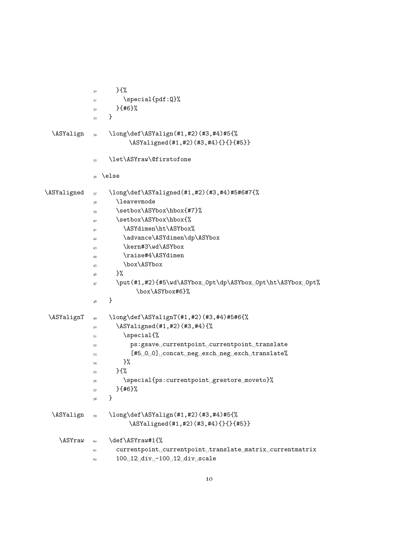|             | $}$<br>30                                                                                                 |
|-------------|-----------------------------------------------------------------------------------------------------------|
|             | \special{pdf:Q}%<br>31                                                                                    |
|             | $}$ {#6}%<br>$3^2$                                                                                        |
|             | }<br>33                                                                                                   |
| \ASYalign   | \long\def\ASYalign(#1,#2)(#3,#4)#5{%<br>34                                                                |
|             | \ASYaligned(#1,#2)(#3,#4){}{}{#5}}                                                                        |
|             | \let\ASYraw\@firstofone<br>35                                                                             |
|             | \else<br>36                                                                                               |
| \ASYaligned | \long\def\ASYaligned(#1,#2)(#3,#4)#5#6#7{%<br>37                                                          |
|             | \leavevmode<br>38                                                                                         |
|             | \setbox\ASYbox\hbox{#7}%<br>39                                                                            |
|             | \setbox\ASYbox\hbox{%<br>40                                                                               |
|             | \ASYdimen\ht\ASYbox%<br>41                                                                                |
|             | \advance\ASYdimen\dp\ASYbox<br>42                                                                         |
|             | \kern#3\wd\ASYbox<br>43                                                                                   |
|             | \raise#4\ASYdimen<br>44                                                                                   |
|             | \box\ASYbox<br>45                                                                                         |
|             | $\frac{1}{2}$<br>46                                                                                       |
|             | \put(#1,#2){#5\wd\ASYbox <sub>10</sub> pt\dp\ASYbox <sub>10</sub> pt\ht\ASYbox <sub>10</sub> pt%<br>47    |
|             | \box\ASYbox#6}%                                                                                           |
|             | }<br>48                                                                                                   |
| \ASYalignT  | \long\def\ASYalignT(#1,#2)(#3,#4)#5#6{%<br>49                                                             |
|             | \ASYaligned(#1,#2)(#3,#4){%<br>50                                                                         |
|             | \special{%<br>51                                                                                          |
|             | ps:gsavedcurrentpointdcurrentpointdtranslate<br>52                                                        |
|             | $[#5\text{C}0\text{C}0]$ $\text{Concat}$ $\text{neg\_exch}$ $\text{neg\_exch}$ $\text{translate}\%$<br>53 |
|             | $\frac{1}{2}$<br>54                                                                                       |
|             | $}$<br>55                                                                                                 |
|             | $\verb \special{ps:currentpoint_grestore_move s\rangle $<br>56                                            |
|             | $}$ {#6}%<br>57                                                                                           |
|             | }<br>58                                                                                                   |
| \ASYalign   | \long\def\ASYalign(#1,#2)(#3,#4)#5{%<br>59                                                                |
|             | \ASYaligned(#1,#2)(#3,#4){}{}{#5}}                                                                        |
| \ASYraw     | \def\ASYraw#1{%<br>60                                                                                     |
|             | 61                                                                                                        |
|             | $100$ <sup>12</sup> <sup>div</sup> <sup>-100</sup> <sup>12</sup> <sup>div</sup> <sub>-</sub> scale<br>62  |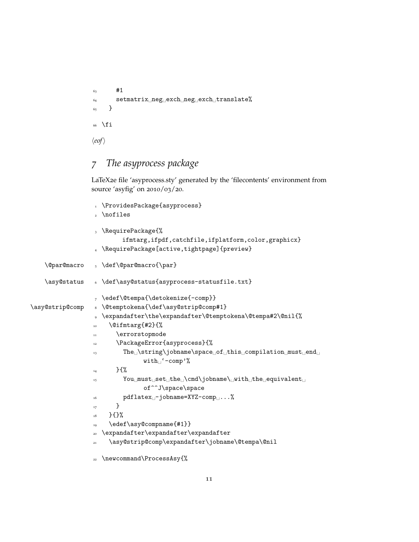```
63 #1
64 setmatrix neg_{\perp}exch neg exch translate%
65 }
66 \fi
\langle eof \rangle
```
## <span id="page-10-0"></span>*7 The asyprocess package*

LaTeX2e file 'asyprocess.sty' generated by the 'filecontents' environment from source 'asyfig' on 2010/03/20.

```
1 \ProvidesPackage{asyprocess}
                   2 \nofiles
                   3 \RequirePackage{%
                           ifmtarg,ifpdf,catchfile,ifplatform,color,graphicx}
                   4 \RequirePackage[active,tightpage]{preview}
    \@par@macro 5 \def\@par@macro{\par}
    \asy@status 6 \def\asy@status{asyprocess-statusfile.txt}
                   7 \edef\@tempa{\detokenize{-comp}}
\asy@strip@comp & \@temptokena{\def\asy@strip@comp#1}
                   9 \expandafter\the\expandafter\@temptokena\@tempa#2\@nil{%
                  10 \@ifmtarg{#2}{%
                  11 \errorstopmode
                  12 \PackageError{asyprocess}{%
                  13 The \string\jobname\space of this compilation must end
                                 \text{with}<sup>'</sup>-comp'%
                  _{14} } {%
                  15 You must set the \mathrm{cmd}\ jobname \mathrm{d} with the equivalent
                                 of^^J\space\space
                  _{16} pdflatex<sub>1</sub>-jobname=XYZ-comp<sub>1</sub>...%
                  <sup>17</sup> }
                  18 }{}%
                       \edef\asy@compname{#1}}
                     \expandafter\expandafter\expandafter
                       \asy@strip@comp\expandafter\jobname\@tempa\@nil
                  22 \newcommand\ProcessAsy{%
```